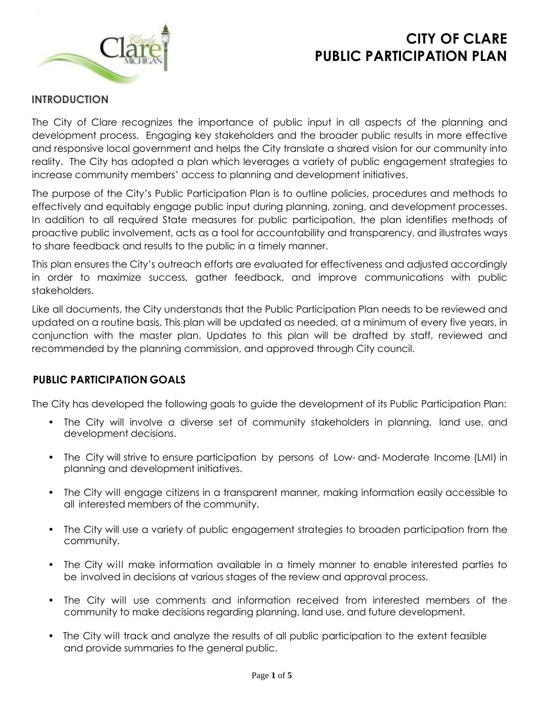



## **INTRODUCTION**

The City of Clare recognizes the importance of public input in all aspects of the planning and development process. Engaging key stakeholders and the broader public results in more effective and responsive local government and helps the City translate a shared vision for our community into reality. The City has adopted a plan which leverages a variety of public engagement strategies to increase community members' access to planning and development initiatives.

The purpose of the City's Public Participation Plan is to outline policies, procedures and methods to effectively and equitably engage public input during planning, zoning, and development processes. In addition to all required State measures for public participation, the plan identifies methods of proactive public involvement, acts as a tool for accountability and transparency, and illustrates ways to share feedback and results to the public in a timely manner.

This plan ensures the City's outreach efforts are evaluated for effectiveness and adjusted accordingly in order to maximize success, gather feedback, and improve communications with public stakeholders.

Like all documents, the City understands that the Public Participation Plan needs to be reviewed and updated on a routine basis. This plan will be updated as needed, at a minimum of every five years, in conjunction with the master plan. Updates to this plan will be drafted by staff, reviewed and recommended by the planning commission, and approved through City council.

# **PUBLIC PARTICIPATION GOALS**

The City has developed the following goals to guide the development of its Public Participation Plan:

- The City will involve a diverse set of community stakeholders in planning, land use, and development decisions.
- The City will strive to ensure participation by persons of Low- and- Moderate Income (LMI) in planning and development initiatives.
- The City will engage citizens in a transparent manner, making information easily accessible to all interested members of the community.
- The City will use a variety of public engagement strategies to broaden participation from the community.
- The City will make information available in a timely manner to enable interested parties to be involved in decisions at various stages of the review and approval process.
- The City will use comments and information received from interested members of the community to make decisions regarding planning, land use, and future development.
- The City will track and analyze the results of all public participation to the extent feasible and provide summaries to the general public.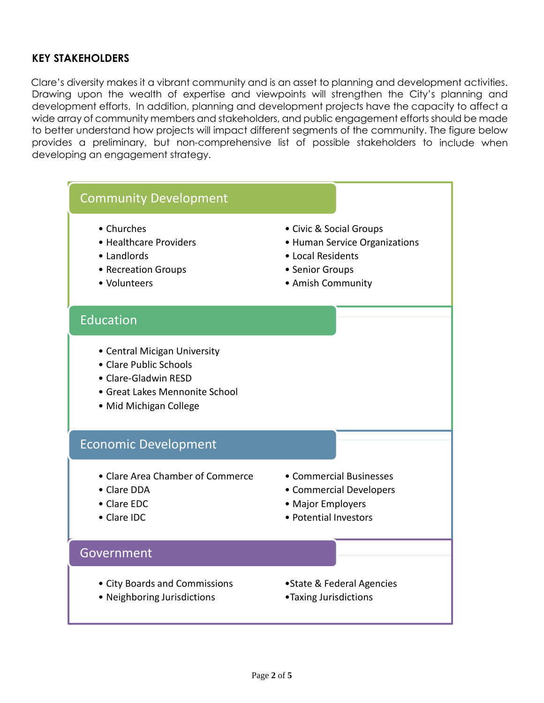## **KEY STAKEHOLDERS**

Clare's diversity makes it a vibrant community and is an asset to planning and development activities. Drawing upon the wealth of expertise and viewpoints will strengthen the City's planning and development efforts. In addition, planning and development projects have the capacity to affect a wide array of community members and stakeholders, and public engagement efforts should be made to better understand how projects will impact different segments of the community. The figure below provides a preliminary, but non-comprehensive list of possible stakeholders to include when developing an engagement strategy.



- Neighboring Jurisdictions Taxing Jurisdictions
- -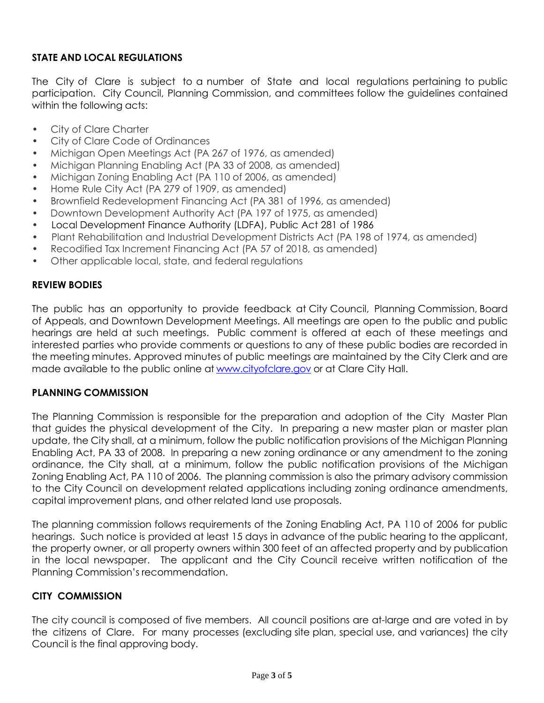## **STATE AND LOCAL REGULATIONS**

The City of Clare is subject to a number of State and local regulations pertaining to public participation. City Council, Planning Commission, and committees follow the guidelines contained within the following acts:

- City of Clare Charter
- City of Clare Code of Ordinances
- Michigan Open Meetings Act (PA 267 of 1976, as amended)
- Michigan Planning Enabling Act (PA 33 of 2008, as amended)
- Michigan Zoning Enabling Act (PA 110 of 2006, as amended)
- Home Rule City Act (PA 279 of 1909, as amended)
- Brownfield Redevelopment Financing Act (PA 381 of 1996, as amended)
- Downtown Development Authority Act (PA 197 of 1975, as amended)
- Local Development Finance Authority (LDFA), Public Act 281 of 1986
- Plant Rehabilitation and Industrial Development Districts Act (PA 198 of 1974, as amended)
- Recodified Tax Increment Financing Act (PA 57 of 2018, as amended)
- Other applicable local, state, and federal regulations

### **REVIEW BODIES**

The public has an opportunity to provide feedback at City Council, Planning Commission, Board of Appeals, and Downtown Development Meetings. All meetings are open to the public and public hearings are held at such meetings. Public comment is offered at each of these meetings and interested parties who provide comments or questions to any of these public bodies are recorded in the meeting minutes. Approved minutes of public meetings are maintained by the City Clerk and are made available to the public online a[t www.cityofclare.g](http://www.cityofclare./)ov or at Clare City Hall.

#### **PLANNING COMMISSION**

The Planning Commission is responsible for the preparation and adoption of the City Master Plan that guides the physical development of the City. In preparing a new master plan or master plan update, the City shall, at a minimum, follow the public notification provisions of the Michigan Planning Enabling Act, PA 33 of 2008. In preparing a new zoning ordinance or any amendment to the zoning ordinance, the City shall, at a minimum, follow the public notification provisions of the Michigan Zoning Enabling Act, PA 110 of 2006. The planning commission is also the primary advisory commission to the City Council on development related applications including zoning ordinance amendments, capital improvement plans, and other related land use proposals.

The planning commission follows requirements of the Zoning Enabling Act, PA 110 of 2006 for public hearings. Such notice is provided at least 15 days in advance of the public hearing to the applicant, the property owner, or all property owners within 300 feet of an affected property and by publication in the local newspaper. The applicant and the City Council receive written notification of the Planning Commission's recommendation.

### **CITY COMMISSION**

The city council is composed of five members. All council positions are at-large and are voted in by the citizens of Clare. For many processes (excluding site plan, special use, and variances) the city Council is the final approving body.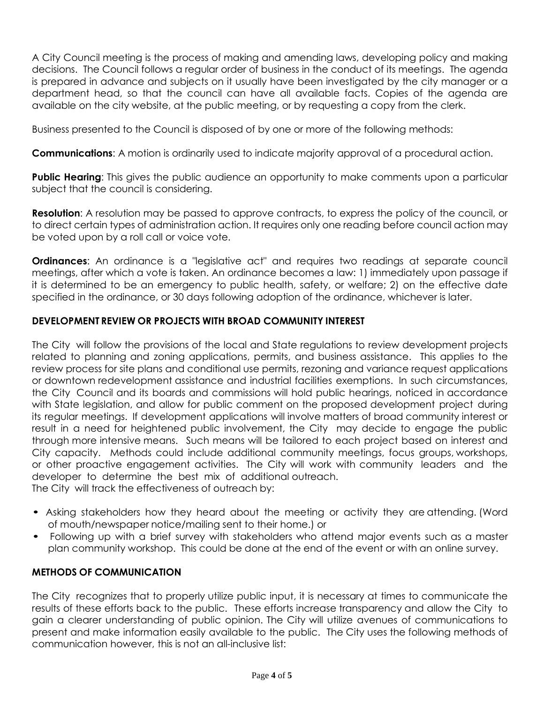A City Council meeting is the process of making and amending laws, developing policy and making decisions. The Council follows a regular order of business in the conduct of its meetings. The agenda is prepared in advance and subjects on it usually have been investigated by the city manager or a department head, so that the council can have all available facts. Copies of the agenda are available on the city website, at the public meeting, or by requesting a copy from the clerk.

Business presented to the Council is disposed of by one or more of the following methods:

**Communications**: A motion is ordinarily used to indicate majority approval of a procedural action.

**Public Hearing**: This gives the public audience an opportunity to make comments upon a particular subject that the council is considering.

**Resolution**: A resolution may be passed to approve contracts, to express the policy of the council, or to direct certain types of administration action. It requires only one reading before council action may be voted upon by a roll call or voice vote.

**Ordinances:** An ordinance is a "legislative act" and requires two readings at separate council meetings, after which a vote is taken. An ordinance becomes a law: 1) immediately upon passage if it is determined to be an emergency to public health, safety, or welfare; 2) on the effective date specified in the ordinance, or 30 days following adoption of the ordinance, whichever is later.

## **DEVELOPMENT REVIEW OR PROJECTS WITH BROAD COMMUNITY INTEREST**

The City will follow the provisions of the local and State regulations to review development projects related to planning and zoning applications, permits, and business assistance. This applies to the review process for site plans and conditional use permits, rezoning and variance request applications or downtown redevelopment assistance and industrial facilities exemptions. In such circumstances, the City Council and its boards and commissions will hold public hearings, noticed in accordance with State legislation, and allow for public comment on the proposed development project during its regular meetings. If development applications will involve matters of broad community interest or result in a need for heightened public involvement, the City may decide to engage the public through more intensive means. Such means will be tailored to each project based on interest and City capacity. Methods could include additional community meetings, focus groups, workshops, or other proactive engagement activities. The City will work with community leaders and the developer to determine the best mix of additional outreach.

The City will track the effectiveness of outreach by:

- Asking stakeholders how they heard about the meeting or activity they are attending. (Word of mouth/newspaper notice/mailing sent to their home.) or
- Following up with a brief survey with stakeholders who attend major events such as a master plan community workshop. This could be done at the end of the event or with an online survey.

### **METHODS OF COMMUNICATION**

The City recognizes that to properly utilize public input, it is necessary at times to communicate the results of these efforts back to the public. These efforts increase transparency and allow the City to gain a clearer understanding of public opinion. The City will utilize avenues of communications to present and make information easily available to the public. The City uses the following methods of communication however, this is not an all-inclusive list: